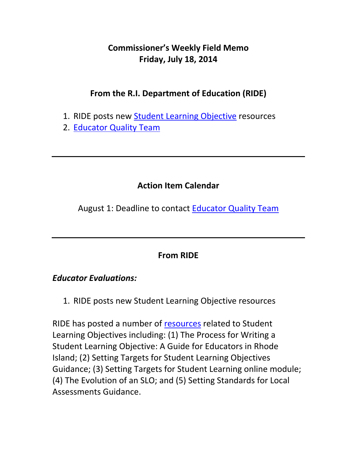# **Commissioner's Weekly Field Memo Friday, July 18, 2014**

## **From the R.I. Department of Education (RIDE)**

- 1. RIDE posts new Student Learning Objective resources
- 2. Educator Quality Team

## **Action Item Calendar**

August 1: Deadline to contact Educator Quality Team

## **From RIDE**

#### *Educator Evaluations:*

1. RIDE posts new Student Learning Objective resources

RIDE has posted a number of resources related to Student Learning Objectives including: (1) The Process for Writing a Student Learning Objective: A Guide for Educators in Rhode Island; (2) Setting Targets for Student Learning Objectives Guidance; (3) Setting Targets for Student Learning online module; (4) The Evolution of an SLO; and (5) Setting Standards for Local Assessments Guidance.